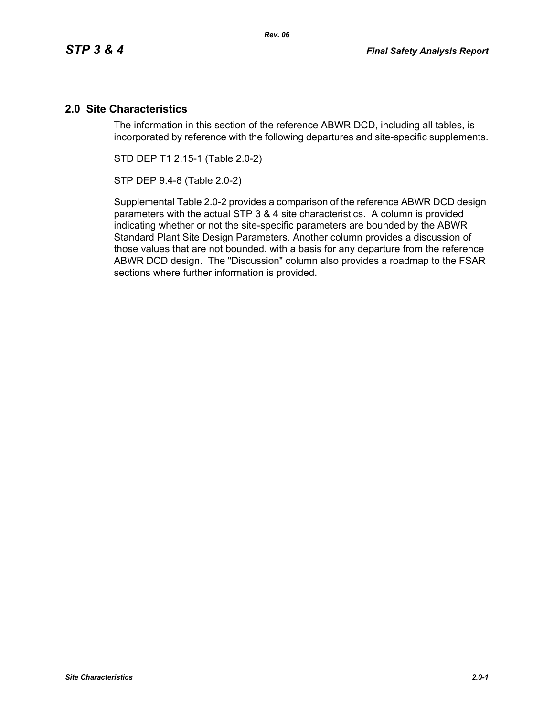# **2.0 Site Characteristics**

The information in this section of the reference ABWR DCD, including all tables, is incorporated by reference with the following departures and site-specific supplements.

STD DEP T1 2.15-1 (Table 2.0-2)

STP DEP 9.4-8 (Table 2.0-2)

Supplemental Table 2.0-2 provides a comparison of the reference ABWR DCD design parameters with the actual STP 3 & 4 site characteristics. A column is provided indicating whether or not the site-specific parameters are bounded by the ABWR Standard Plant Site Design Parameters. Another column provides a discussion of those values that are not bounded, with a basis for any departure from the reference ABWR DCD design. The "Discussion" column also provides a roadmap to the FSAR sections where further information is provided.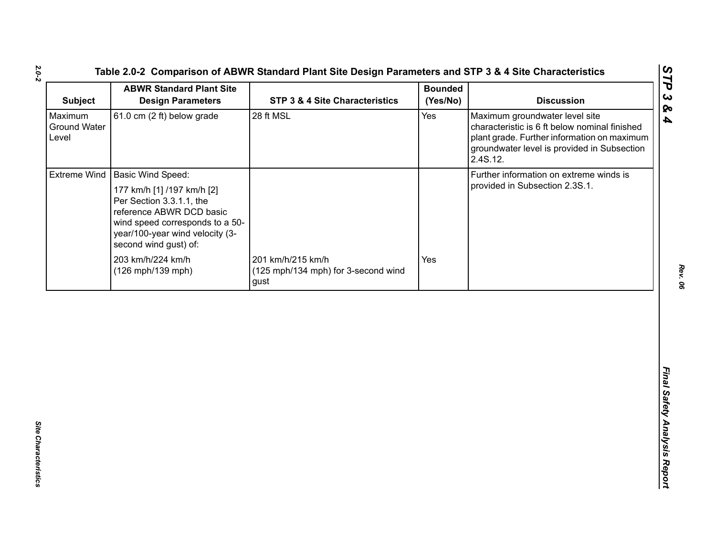| <b>Subject</b>                          | <b>ABWR Standard Plant Site</b><br><b>Design Parameters</b>                                                                                                                       | STP 3 & 4 Site Characteristics                                   | <b>Bounded</b><br>(Yes/No) | <b>Discussion</b>                                                                                                                                                                         |
|-----------------------------------------|-----------------------------------------------------------------------------------------------------------------------------------------------------------------------------------|------------------------------------------------------------------|----------------------------|-------------------------------------------------------------------------------------------------------------------------------------------------------------------------------------------|
| Maximum<br><b>Ground Water</b><br>Level | 61.0 cm (2 ft) below grade                                                                                                                                                        | 28 ft MSL                                                        | Yes                        | Maximum groundwater level site<br>characteristic is 6 ft below nominal finished<br>plant grade. Further information on maximum<br>groundwater level is provided in Subsection<br>2.4S.12. |
| Extreme Wind                            | Basic Wind Speed:                                                                                                                                                                 |                                                                  |                            | Further information on extreme winds is                                                                                                                                                   |
|                                         | 177 km/h [1] /197 km/h [2]<br>Per Section 3.3.1.1, the<br>reference ABWR DCD basic<br>wind speed corresponds to a 50-<br>year/100-year wind velocity (3-<br>second wind gust) of: |                                                                  |                            | provided in Subsection 2.3S.1.                                                                                                                                                            |
|                                         | 203 km/h/224 km/h<br>(126 mph/139 mph)                                                                                                                                            | 201 km/h/215 km/h<br>(125 mph/134 mph) for 3-second wind<br>gust | Yes                        |                                                                                                                                                                                           |
|                                         |                                                                                                                                                                                   |                                                                  |                            |                                                                                                                                                                                           |
|                                         |                                                                                                                                                                                   |                                                                  |                            |                                                                                                                                                                                           |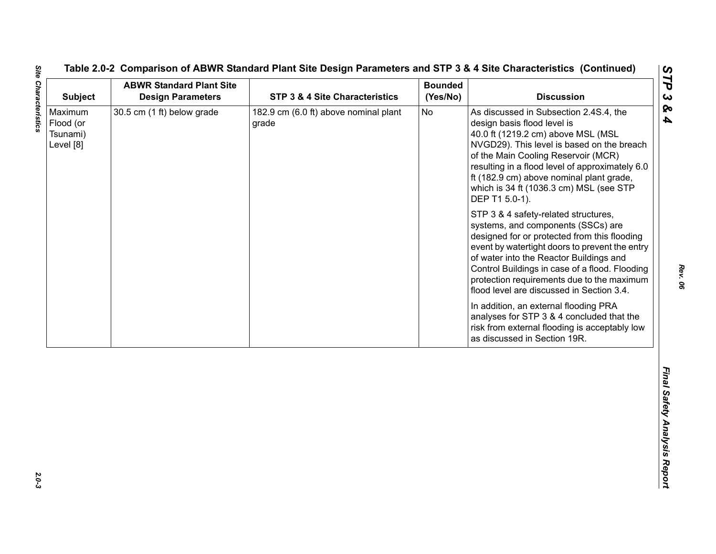| <b>Subject</b>                                | <b>ABWR Standard Plant Site</b><br><b>Design Parameters</b> | STP 3 & 4 Site Characteristics                 | <b>Bounded</b><br>(Yes/No) | <b>Discussion</b>                                                                                                                                                                                                                                                                                                                                                                                                                                                                                                                                                                                                                                                                                                                                                                                                                                                                                           |
|-----------------------------------------------|-------------------------------------------------------------|------------------------------------------------|----------------------------|-------------------------------------------------------------------------------------------------------------------------------------------------------------------------------------------------------------------------------------------------------------------------------------------------------------------------------------------------------------------------------------------------------------------------------------------------------------------------------------------------------------------------------------------------------------------------------------------------------------------------------------------------------------------------------------------------------------------------------------------------------------------------------------------------------------------------------------------------------------------------------------------------------------|
| Maximum<br>Flood (or<br>Tsunami)<br>Level [8] | 30.5 cm (1 ft) below grade                                  | 182.9 cm (6.0 ft) above nominal plant<br>grade | <b>No</b>                  | As discussed in Subsection 2.4S.4, the<br>design basis flood level is<br>40.0 ft (1219.2 cm) above MSL (MSL<br>NVGD29). This level is based on the breach<br>of the Main Cooling Reservoir (MCR)<br>resulting in a flood level of approximately 6.0<br>ft (182.9 cm) above nominal plant grade,<br>which is 34 ft (1036.3 cm) MSL (see STP<br>DEP T1 5.0-1).<br>STP 3 & 4 safety-related structures,<br>systems, and components (SSCs) are<br>designed for or protected from this flooding<br>event by watertight doors to prevent the entry<br>of water into the Reactor Buildings and<br>Control Buildings in case of a flood. Flooding<br>protection requirements due to the maximum<br>flood level are discussed in Section 3.4.<br>In addition, an external flooding PRA<br>analyses for STP 3 & 4 concluded that the<br>risk from external flooding is acceptably low<br>as discussed in Section 19R. |
|                                               |                                                             |                                                |                            |                                                                                                                                                                                                                                                                                                                                                                                                                                                                                                                                                                                                                                                                                                                                                                                                                                                                                                             |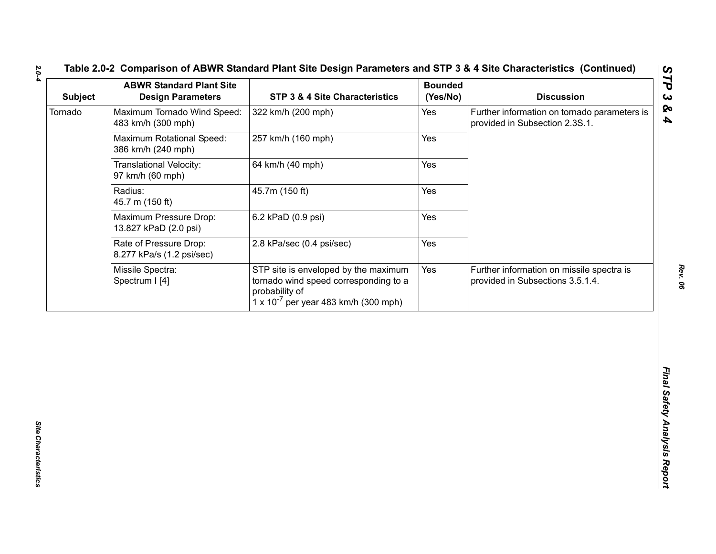| Further information on tornado parameters is<br>Yes<br>provided in Subsection 2.3S.1.<br>Yes<br>Yes | 322 km/h (200 mph)                                                                                                                                | <b>Design Parameters</b>                            | <b>Subject</b> |
|-----------------------------------------------------------------------------------------------------|---------------------------------------------------------------------------------------------------------------------------------------------------|-----------------------------------------------------|----------------|
|                                                                                                     |                                                                                                                                                   | Maximum Tornado Wind Speed:<br>483 km/h (300 mph)   | Tornado        |
|                                                                                                     | 257 km/h (160 mph)                                                                                                                                | Maximum Rotational Speed:<br>386 km/h (240 mph)     |                |
|                                                                                                     | 64 km/h (40 mph)                                                                                                                                  | Translational Velocity:<br>97 km/h (60 mph)         |                |
| Yes                                                                                                 | 45.7m (150 ft)                                                                                                                                    | Radius:<br>45.7 m (150 ft)                          |                |
| Yes                                                                                                 | 6.2 kPaD (0.9 psi)                                                                                                                                | Maximum Pressure Drop:<br>13.827 kPaD (2.0 psi)     |                |
| Yes                                                                                                 | 2.8 kPa/sec (0.4 psi/sec)                                                                                                                         | Rate of Pressure Drop:<br>8.277 kPa/s (1.2 psi/sec) |                |
| Yes<br>Further information on missile spectra is<br>provided in Subsections 3.5.1.4.                | STP site is enveloped by the maximum<br>tornado wind speed corresponding to a<br>probability of<br>$1 \times 10^{-7}$ per year 483 km/h (300 mph) | Missile Spectra:<br>Spectrum I [4]                  |                |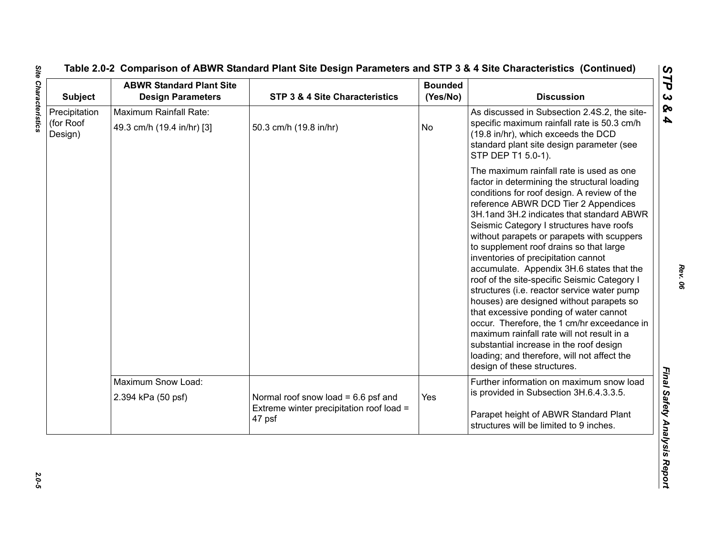| <b>Subject</b>                        | <b>ABWR Standard Plant Site</b><br><b>Design Parameters</b> | STP 3 & 4 Site Characteristics                                                              | <b>Bounded</b><br>(Yes/No) | <b>Discussion</b>                                                                                                                                                                                                                                                                                                                                                                                                                                                                                                                                                                                                                                                                                                                                                                                                                                                |
|---------------------------------------|-------------------------------------------------------------|---------------------------------------------------------------------------------------------|----------------------------|------------------------------------------------------------------------------------------------------------------------------------------------------------------------------------------------------------------------------------------------------------------------------------------------------------------------------------------------------------------------------------------------------------------------------------------------------------------------------------------------------------------------------------------------------------------------------------------------------------------------------------------------------------------------------------------------------------------------------------------------------------------------------------------------------------------------------------------------------------------|
| Precipitation<br>(for Roof<br>Design) | Maximum Rainfall Rate:<br>49.3 cm/h (19.4 in/hr) [3]        | 50.3 cm/h (19.8 in/hr)                                                                      | No                         | As discussed in Subsection 2.4S.2, the site-<br>specific maximum rainfall rate is 50.3 cm/h<br>(19.8 in/hr), which exceeds the DCD<br>standard plant site design parameter (see<br>STP DEP T1 5.0-1).                                                                                                                                                                                                                                                                                                                                                                                                                                                                                                                                                                                                                                                            |
|                                       |                                                             |                                                                                             |                            | The maximum rainfall rate is used as one<br>factor in determining the structural loading<br>conditions for roof design. A review of the<br>reference ABWR DCD Tier 2 Appendices<br>3H.1and 3H.2 indicates that standard ABWR<br>Seismic Category I structures have roofs<br>without parapets or parapets with scuppers<br>to supplement roof drains so that large<br>inventories of precipitation cannot<br>accumulate. Appendix 3H.6 states that the<br>roof of the site-specific Seismic Category I<br>structures (i.e. reactor service water pump<br>houses) are designed without parapets so<br>that excessive ponding of water cannot<br>occur. Therefore, the 1 cm/hr exceedance in<br>maximum rainfall rate will not result in a<br>substantial increase in the roof design<br>loading; and therefore, will not affect the<br>design of these structures. |
|                                       | Maximum Snow Load:                                          |                                                                                             |                            | Further information on maximum snow load                                                                                                                                                                                                                                                                                                                                                                                                                                                                                                                                                                                                                                                                                                                                                                                                                         |
|                                       | 2.394 kPa (50 psf)                                          | Normal roof snow load = $6.6$ psf and<br>Extreme winter precipitation roof load =<br>47 psf | Yes                        | is provided in Subsection 3H.6.4.3.3.5.<br>Parapet height of ABWR Standard Plant<br>structures will be limited to 9 inches.                                                                                                                                                                                                                                                                                                                                                                                                                                                                                                                                                                                                                                                                                                                                      |

 $2.0 - 5$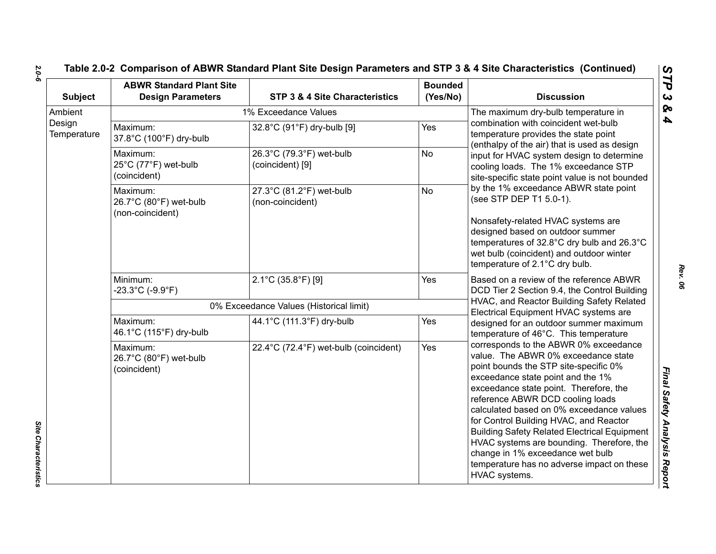| <b>Subject</b>        | <b>ABWR Standard Plant Site</b><br><b>Design Parameters</b> | STP 3 & 4 Site Characteristics               | <b>Bounded</b><br>(Yes/No) | <b>Discussion</b>                                                                                                                                                                                                                                                                                                                                                                                                                                                                                                                     |
|-----------------------|-------------------------------------------------------------|----------------------------------------------|----------------------------|---------------------------------------------------------------------------------------------------------------------------------------------------------------------------------------------------------------------------------------------------------------------------------------------------------------------------------------------------------------------------------------------------------------------------------------------------------------------------------------------------------------------------------------|
| Ambient               |                                                             | 1% Exceedance Values                         |                            | The maximum dry-bulb temperature in                                                                                                                                                                                                                                                                                                                                                                                                                                                                                                   |
| Design<br>Temperature | Maximum:<br>37.8°C (100°F) dry-bulb                         | 32.8°C (91°F) dry-bulb [9]                   | Yes                        | combination with coincident wet-bulb<br>temperature provides the state point<br>(enthalpy of the air) that is used as design                                                                                                                                                                                                                                                                                                                                                                                                          |
|                       | Maximum:<br>25°C (77°F) wet-bulb<br>(coincident)            | 26.3°C (79.3°F) wet-bulb<br>(coincident) [9] | <b>No</b>                  | input for HVAC system design to determine<br>cooling loads. The 1% exceedance STP<br>site-specific state point value is not bounded                                                                                                                                                                                                                                                                                                                                                                                                   |
|                       | Maximum:<br>26.7°C (80°F) wet-bulb                          | 27.3°C (81.2°F) wet-bulb<br>(non-coincident) | <b>No</b>                  | by the 1% exceedance ABWR state point<br>(see STP DEP T1 5.0-1).                                                                                                                                                                                                                                                                                                                                                                                                                                                                      |
|                       | (non-coincident)                                            |                                              |                            | Nonsafety-related HVAC systems are<br>designed based on outdoor summer<br>temperatures of 32.8°C dry bulb and 26.3°C<br>wet bulb (coincident) and outdoor winter<br>temperature of 2.1°C dry bulb.                                                                                                                                                                                                                                                                                                                                    |
|                       | Minimum:<br>$-23.3^{\circ}$ C (-9.9 $^{\circ}$ F)           | 2.1°C (35.8°F) [9]                           | Yes                        | Based on a review of the reference ABWR<br>DCD Tier 2 Section 9.4, the Control Building                                                                                                                                                                                                                                                                                                                                                                                                                                               |
|                       |                                                             | 0% Exceedance Values (Historical limit)      |                            | HVAC, and Reactor Building Safety Related<br>Electrical Equipment HVAC systems are                                                                                                                                                                                                                                                                                                                                                                                                                                                    |
|                       | Maximum:<br>46.1°C (115°F) dry-bulb                         | 44.1°C (111.3°F) dry-bulb                    | Yes                        | designed for an outdoor summer maximum<br>temperature of 46°C. This temperature                                                                                                                                                                                                                                                                                                                                                                                                                                                       |
|                       | Maximum:<br>26.7°C (80°F) wet-bulb<br>(coincident)          | 22.4°C (72.4°F) wet-bulb (coincident)        | Yes                        | corresponds to the ABWR 0% exceedance<br>value. The ABWR 0% exceedance state<br>point bounds the STP site-specific 0%<br>exceedance state point and the 1%<br>exceedance state point. Therefore, the<br>reference ABWR DCD cooling loads<br>calculated based on 0% exceedance values<br>for Control Building HVAC, and Reactor<br><b>Building Safety Related Electrical Equipment</b><br>HVAC systems are bounding. Therefore, the<br>change in 1% exceedance wet bulb<br>temperature has no adverse impact on these<br>HVAC systems. |

*2.0-6*

*Site Characteristics* 

Site Characteristics

*Rev. 06*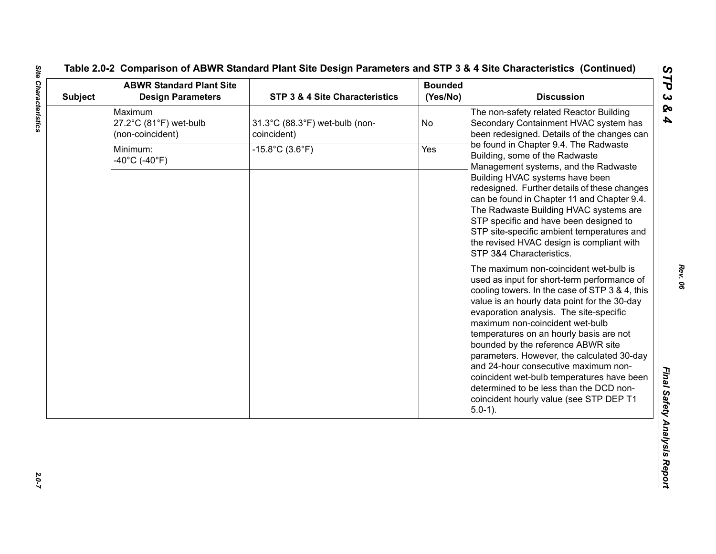| <b>Subject</b> | <b>ABWR Standard Plant Site</b><br><b>Design Parameters</b> | <b>STP 3 &amp; 4 Site Characteristics</b>     | <b>Bounded</b><br>(Yes/No) | <b>Discussion</b>                                                                                                                                                                                                                                                                                                                                                                                                                                                                                                                                                                                                                                                                                                                                                                                                                                                                                                                                                                                                                                              |
|----------------|-------------------------------------------------------------|-----------------------------------------------|----------------------------|----------------------------------------------------------------------------------------------------------------------------------------------------------------------------------------------------------------------------------------------------------------------------------------------------------------------------------------------------------------------------------------------------------------------------------------------------------------------------------------------------------------------------------------------------------------------------------------------------------------------------------------------------------------------------------------------------------------------------------------------------------------------------------------------------------------------------------------------------------------------------------------------------------------------------------------------------------------------------------------------------------------------------------------------------------------|
|                | Maximum<br>27.2°C (81°F) wet-bulb<br>(non-coincident)       | 31.3°C (88.3°F) wet-bulb (non-<br>coincident) | No                         | The non-safety related Reactor Building<br>Secondary Containment HVAC system has<br>been redesigned. Details of the changes can                                                                                                                                                                                                                                                                                                                                                                                                                                                                                                                                                                                                                                                                                                                                                                                                                                                                                                                                |
|                | Minimum:<br>$-40^{\circ}$ C (-40 $^{\circ}$ F)              | $-15.8^{\circ}$ C (3.6 $^{\circ}$ F)          | Yes                        | be found in Chapter 9.4. The Radwaste<br>Building, some of the Radwaste<br>Management systems, and the Radwaste<br>Building HVAC systems have been<br>redesigned. Further details of these changes<br>can be found in Chapter 11 and Chapter 9.4.<br>The Radwaste Building HVAC systems are<br>STP specific and have been designed to<br>STP site-specific ambient temperatures and<br>the revised HVAC design is compliant with<br>STP 3&4 Characteristics.<br>The maximum non-coincident wet-bulb is<br>used as input for short-term performance of<br>cooling towers. In the case of STP 3 & 4, this<br>value is an hourly data point for the 30-day<br>evaporation analysis. The site-specific<br>maximum non-coincident wet-bulb<br>temperatures on an hourly basis are not<br>bounded by the reference ABWR site<br>parameters. However, the calculated 30-day<br>and 24-hour consecutive maximum non-<br>coincident wet-bulb temperatures have been<br>determined to be less than the DCD non-<br>coincident hourly value (see STP DEP T1<br>$5.0-1$ ). |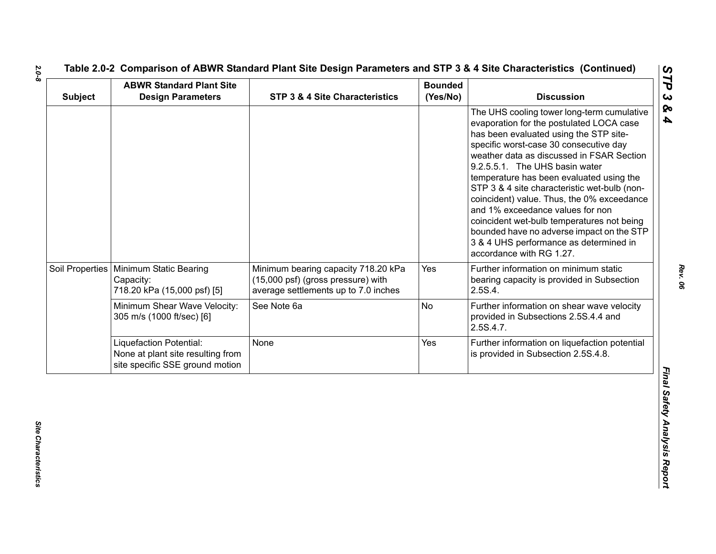| <b>Subject</b> | <b>ABWR Standard Plant Site</b><br><b>Design Parameters</b>                                     | STP 3 & 4 Site Characteristics                                                                                    | <b>Bounded</b><br>(Yes/No) | <b>Discussion</b>                                                                                                                                                                                                                                                                                                                                                                                                                                                                                                                                                                                        |
|----------------|-------------------------------------------------------------------------------------------------|-------------------------------------------------------------------------------------------------------------------|----------------------------|----------------------------------------------------------------------------------------------------------------------------------------------------------------------------------------------------------------------------------------------------------------------------------------------------------------------------------------------------------------------------------------------------------------------------------------------------------------------------------------------------------------------------------------------------------------------------------------------------------|
|                |                                                                                                 |                                                                                                                   |                            | The UHS cooling tower long-term cumulative<br>evaporation for the postulated LOCA case<br>has been evaluated using the STP site-<br>specific worst-case 30 consecutive day<br>weather data as discussed in FSAR Section<br>9.2.5.5.1. The UHS basin water<br>temperature has been evaluated using the<br>STP 3 & 4 site characteristic wet-bulb (non-<br>coincident) value. Thus, the 0% exceedance<br>and 1% exceedance values for non<br>coincident wet-bulb temperatures not being<br>bounded have no adverse impact on the STP<br>3 & 4 UHS performance as determined in<br>accordance with RG 1.27. |
|                | Soil Properties   Minimum Static Bearing<br>Capacity:<br>718.20 kPa (15,000 psf) [5]            | Minimum bearing capacity 718.20 kPa<br>(15,000 psf) (gross pressure) with<br>average settlements up to 7.0 inches | Yes                        | Further information on minimum static<br>bearing capacity is provided in Subsection<br>2.5S.4.                                                                                                                                                                                                                                                                                                                                                                                                                                                                                                           |
|                | Minimum Shear Wave Velocity:<br>305 m/s (1000 ft/sec) [6]                                       | See Note 6a                                                                                                       | No                         | Further information on shear wave velocity<br>provided in Subsections 2.5S.4.4 and<br>2.5S.4.7.                                                                                                                                                                                                                                                                                                                                                                                                                                                                                                          |
|                | Liquefaction Potential:<br>None at plant site resulting from<br>site specific SSE ground motion | None                                                                                                              | Yes                        | Further information on liquefaction potential<br>is provided in Subsection 2.5S.4.8.                                                                                                                                                                                                                                                                                                                                                                                                                                                                                                                     |

*2.0-8*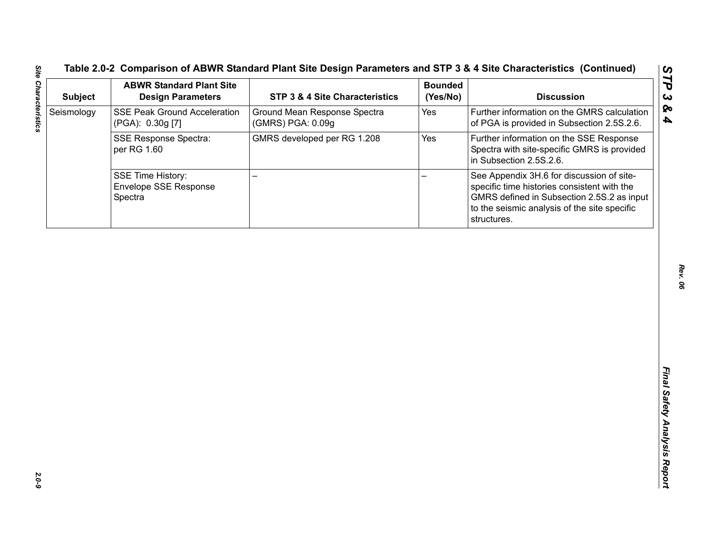| <b>Subject</b> | <b>ABWR Standard Plant Site</b><br><b>Design Parameters</b>  | STP 3 & 4 Site Characteristics                    | <b>Bounded</b><br>(Yes/No) | <b>Discussion</b>                                                                                                                                                                                     |
|----------------|--------------------------------------------------------------|---------------------------------------------------|----------------------------|-------------------------------------------------------------------------------------------------------------------------------------------------------------------------------------------------------|
| Seismology     | <b>SSE Peak Ground Acceleration</b><br>(PGA): 0.30g [7]      | Ground Mean Response Spectra<br>(GMRS) PGA: 0.09g | Yes                        | Further information on the GMRS calculation<br>of PGA is provided in Subsection 2.5S.2.6.                                                                                                             |
|                | <b>SSE Response Spectra:</b><br>per RG 1.60                  | GMRS developed per RG 1.208                       | Yes                        | Further information on the SSE Response<br>Spectra with site-specific GMRS is provided<br>in Subsection 2.5S.2.6.                                                                                     |
|                | <b>SSE Time History:</b><br>Envelope SSE Response<br>Spectra | ▃                                                 |                            | See Appendix 3H.6 for discussion of site-<br>specific time histories consistent with the<br>GMRS defined in Subsection 2.5S.2 as input<br>to the seismic analysis of the site specific<br>structures. |
|                |                                                              |                                                   |                            |                                                                                                                                                                                                       |
|                |                                                              |                                                   |                            |                                                                                                                                                                                                       |
|                |                                                              |                                                   |                            |                                                                                                                                                                                                       |
|                |                                                              |                                                   |                            |                                                                                                                                                                                                       |
|                |                                                              |                                                   |                            |                                                                                                                                                                                                       |
|                |                                                              |                                                   |                            |                                                                                                                                                                                                       |
|                |                                                              |                                                   |                            |                                                                                                                                                                                                       |
|                |                                                              |                                                   |                            |                                                                                                                                                                                                       |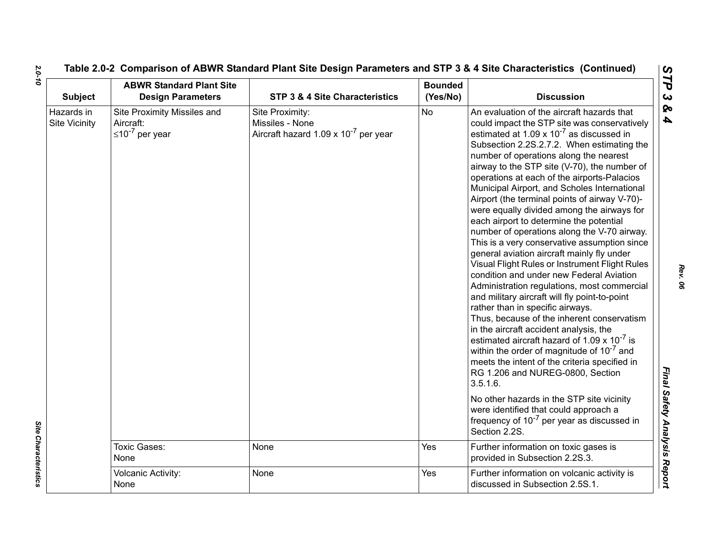| <b>Subject</b>                     | <b>ABWR Standard Plant Site</b><br><b>Design Parameters</b>         | STP 3 & 4 Site Characteristics                                                         | <b>Bounded</b><br>(Yes/No) | <b>Discussion</b>                                                                                                                                                                                                                                                                                                                                                                                                                                                                                                                                                                                                                                                                                                                                                                                                                                                                                                                                                                                                                                                                                                                                                                                                                                                                                                                                                                  |
|------------------------------------|---------------------------------------------------------------------|----------------------------------------------------------------------------------------|----------------------------|------------------------------------------------------------------------------------------------------------------------------------------------------------------------------------------------------------------------------------------------------------------------------------------------------------------------------------------------------------------------------------------------------------------------------------------------------------------------------------------------------------------------------------------------------------------------------------------------------------------------------------------------------------------------------------------------------------------------------------------------------------------------------------------------------------------------------------------------------------------------------------------------------------------------------------------------------------------------------------------------------------------------------------------------------------------------------------------------------------------------------------------------------------------------------------------------------------------------------------------------------------------------------------------------------------------------------------------------------------------------------------|
| Hazards in<br><b>Site Vicinity</b> | Site Proximity Missiles and<br>Aircraft:<br>$\leq 10^{-7}$ per year | Site Proximity:<br>Missiles - None<br>Aircraft hazard 1.09 x 10 <sup>-7</sup> per year | <b>No</b>                  | An evaluation of the aircraft hazards that<br>could impact the STP site was conservatively<br>estimated at 1.09 x $10^{-7}$ as discussed in<br>Subsection 2.2S.2.7.2. When estimating the<br>number of operations along the nearest<br>airway to the STP site (V-70), the number of<br>operations at each of the airports-Palacios<br>Municipal Airport, and Scholes International<br>Airport (the terminal points of airway V-70)-<br>were equally divided among the airways for<br>each airport to determine the potential<br>number of operations along the V-70 airway.<br>This is a very conservative assumption since<br>general aviation aircraft mainly fly under<br>Visual Flight Rules or Instrument Flight Rules<br>condition and under new Federal Aviation<br>Administration regulations, most commercial<br>and military aircraft will fly point-to-point<br>rather than in specific airways.<br>Thus, because of the inherent conservatism<br>in the aircraft accident analysis, the<br>estimated aircraft hazard of 1.09 x $10^{-7}$ is<br>within the order of magnitude of 10 <sup>-7</sup> and<br>meets the intent of the criteria specified in<br>RG 1.206 and NUREG-0800, Section<br>3.5.1.6.<br>No other hazards in the STP site vicinity<br>were identified that could approach a<br>frequency of 10 <sup>-7</sup> per year as discussed in<br>Section 2.2S. |
|                                    | Toxic Gases:<br>None                                                | None                                                                                   | Yes                        | Further information on toxic gases is<br>provided in Subsection 2.2S.3.                                                                                                                                                                                                                                                                                                                                                                                                                                                                                                                                                                                                                                                                                                                                                                                                                                                                                                                                                                                                                                                                                                                                                                                                                                                                                                            |
|                                    | Volcanic Activity:<br>None                                          | None                                                                                   | Yes                        | Further information on volcanic activity is<br>discussed in Subsection 2.5S.1.                                                                                                                                                                                                                                                                                                                                                                                                                                                                                                                                                                                                                                                                                                                                                                                                                                                                                                                                                                                                                                                                                                                                                                                                                                                                                                     |

*2.0-10*

Site Characteristics *Site Characteristics*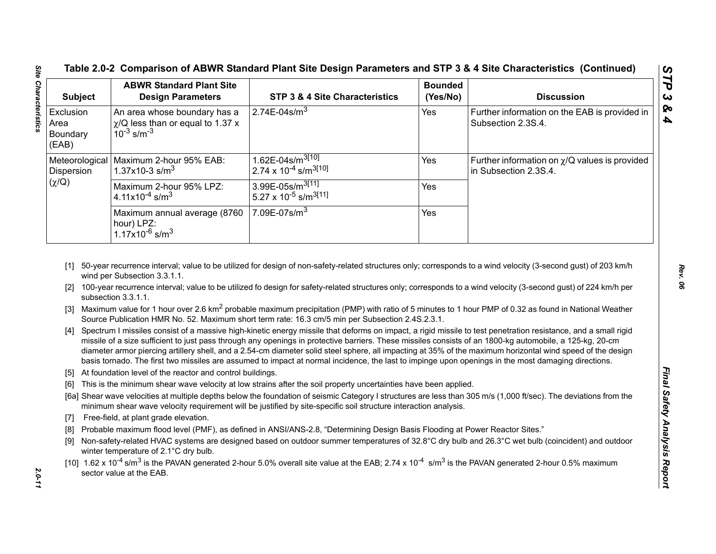| <b>Subject</b>                         | <b>ABWR Standard Plant Site</b><br><b>Design Parameters</b>                                           | STP 3 & 4 Site Characteristics                                                                                                                                                                                                                                                                                  | <b>Bounded</b><br>(Yes/No) | <b>Discussion</b>                                                                                                                                                                                                                                                                                                                     |
|----------------------------------------|-------------------------------------------------------------------------------------------------------|-----------------------------------------------------------------------------------------------------------------------------------------------------------------------------------------------------------------------------------------------------------------------------------------------------------------|----------------------------|---------------------------------------------------------------------------------------------------------------------------------------------------------------------------------------------------------------------------------------------------------------------------------------------------------------------------------------|
| Exclusion<br>Area<br>Boundary<br>(EAB) | An area whose boundary has a<br>$\chi$ /Q less than or equal to 1.37 x<br>$10^{-3}$ s/m <sup>-3</sup> | 2.74E-04s/m <sup>3</sup>                                                                                                                                                                                                                                                                                        | Yes                        | Further information on the EAB is provided in<br>Subsection 2.3S.4.                                                                                                                                                                                                                                                                   |
| Dispersion                             | Meteorological   Maximum 2-hour 95% EAB:<br>1.37x10-3 s/m <sup>3</sup>                                | $1.62E - 04s/m^{3[10]}$<br>2.74 x 10 <sup>-4</sup> s/m <sup>3[10]</sup>                                                                                                                                                                                                                                         | Yes                        | Further information on $\chi$ /Q values is provided<br>in Subsection 2.3S.4.                                                                                                                                                                                                                                                          |
| $(\chi/Q)$                             | Maximum 2-hour 95% LPZ:<br>4.11x10 <sup>-4</sup> s/m <sup>3</sup>                                     | 3.99E-05s/m <sup>3[11]</sup><br>5.27 x 10 <sup>-5</sup> s/m <sup>3[11]</sup>                                                                                                                                                                                                                                    | Yes                        |                                                                                                                                                                                                                                                                                                                                       |
|                                        | Maximum annual average (8760<br>hour) LPZ:<br>$1.17x10^{-6}$ s/m <sup>3</sup>                         | 7.09E-07s/ $\overline{m^3}$                                                                                                                                                                                                                                                                                     | Yes                        |                                                                                                                                                                                                                                                                                                                                       |
| <u>121.</u>                            | wind per Subsection 3.3.1.1.<br>subsection 3.3.1.1.                                                   |                                                                                                                                                                                                                                                                                                                 |                            | [1] 50-year recurrence interval; value to be utilized for design of non-safety-related structures only; corresponds to a wind velocity (3-second gust) of 203 km/h<br>100-year recurrence interval; value to be utilized fo design for safety-related structures only; corresponds to a wind velocity (3-second gust) of 224 km/h per |
|                                        |                                                                                                       |                                                                                                                                                                                                                                                                                                                 |                            |                                                                                                                                                                                                                                                                                                                                       |
| [3]<br>[4]                             |                                                                                                       | Source Publication HMR No. 52. Maximum short term rate: 16.3 cm/5 min per Subsection 2.4S.2.3.1.                                                                                                                                                                                                                |                            | Maximum value for 1 hour over 2.6 km <sup>2</sup> probable maximum precipitation (PMP) with ratio of 5 minutes to 1 hour PMP of 0.32 as found in National Weather<br>Spectrum I missiles consist of a massive high-kinetic energy missile that deforms on impact, a rigid missile to test penetration resistance, and a small rigid   |
|                                        |                                                                                                       | missile of a size sufficient to just pass through any openings in protective barriers. These missiles consists of an 1800-kg automobile, a 125-kg, 20-cm<br>basis tornado. The first two missiles are assumed to impact at normal incidence, the last to impinge upon openings in the most damaging directions. |                            | diameter armor piercing artillery shell, and a 2.54-cm diameter solid steel sphere, all impacting at 35% of the maximum horizontal wind speed of the design                                                                                                                                                                           |
|                                        | [5] At foundation level of the reactor and control buildings.                                         |                                                                                                                                                                                                                                                                                                                 |                            |                                                                                                                                                                                                                                                                                                                                       |
|                                        |                                                                                                       | [6] This is the minimum shear wave velocity at low strains after the soil property uncertainties have been applied.<br>minimum shear wave velocity requirement will be justified by site-specific soil structure interaction analysis.                                                                          |                            | [6a] Shear wave velocities at multiple depths below the foundation of seismic Category I structures are less than 305 m/s (1,000 ft/sec). The deviations from the                                                                                                                                                                     |
| $\lceil 7 \rceil$                      | Free-field, at plant grade elevation.                                                                 |                                                                                                                                                                                                                                                                                                                 |                            |                                                                                                                                                                                                                                                                                                                                       |
| [8]                                    |                                                                                                       | Probable maximum flood level (PMF), as defined in ANSI/ANS-2.8, "Determining Design Basis Flooding at Power Reactor Sites."                                                                                                                                                                                     |                            |                                                                                                                                                                                                                                                                                                                                       |
| [9]                                    | winter temperature of 2.1°C dry bulb.                                                                 |                                                                                                                                                                                                                                                                                                                 |                            | Non-safety-related HVAC systems are designed based on outdoor summer temperatures of 32.8°C dry bulb and 26.3°C wet bulb (coincident) and outdoor                                                                                                                                                                                     |

- 
- 
- 
- 
- 
- 
- 
- 
- 
- 
- 

*STP 3 & 4*